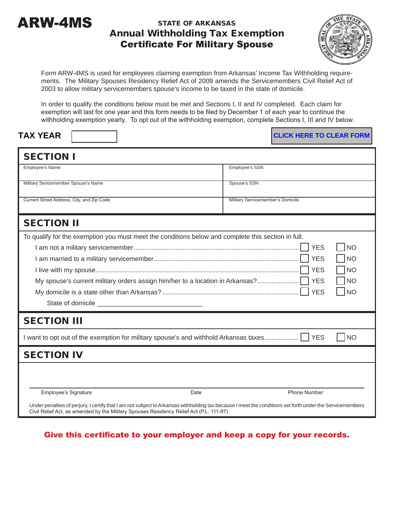

## STATE OF ARKANSAS Annual Withholding Tax Exemption Certificate For Military Spouse



Form ARW-4MS is used for employees claiming exemption from Arkansas' Income Tax Withholding requirements. The Military Spouses Residency Relief Act of 2009 amends the Servicemembers Civil Relief Act of 2003 to allow military servicemembers spouse's income to be taxed in the state of domicile.

In order to qualify the conditions below must be met and Sections I, II and IV completed. Each claim for exemption will last for one year and this form needs to be filed by December 1 of each year to continue the withholding exemption yearly. To opt out of the withholding exemption, complete Sections I, III and IV below.

| <b>TAX YEAR</b> |
|-----------------|
|                 |

**CLICK HERE TO CLEAR FORM** 

| Employee's SSN                                                                                                                                                                                                                                  |  |
|-------------------------------------------------------------------------------------------------------------------------------------------------------------------------------------------------------------------------------------------------|--|
| Spouse's SSN                                                                                                                                                                                                                                    |  |
| Military Servicemember's Domicile                                                                                                                                                                                                               |  |
| <b>SECTION II</b>                                                                                                                                                                                                                               |  |
| To qualify for the exemption you must meet the conditions below and complete this section in full.                                                                                                                                              |  |
| <b>YES</b><br><b>NO</b><br><b>YES</b><br><b>NO</b><br><b>YES</b><br><b>NO</b><br><b>YES</b><br>My spouse's current military orders assign him/her to a location in Arkansas?<br><b>NO</b><br><b>YES</b><br><b>NO</b><br><b>YES</b><br><b>NO</b> |  |
| want to opt out of the exemption for military spouse's and withhold Arkansas taxes                                                                                                                                                              |  |
| <b>SECTION IV</b>                                                                                                                                                                                                                               |  |
| Phone Number<br>Under penalties of perjury, I certify that I am not subject to Arkansas withholding tax because I meet the conditions set forth under the Servicemembers                                                                        |  |
|                                                                                                                                                                                                                                                 |  |

Give this certificate to your employer and keep a copy for your records.